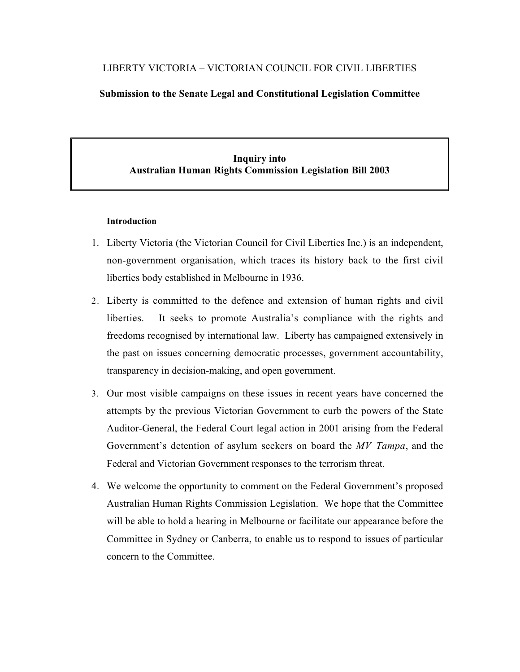# LIBERTY VICTORIA – VICTORIAN COUNCIL FOR CIVIL LIBERTIES

## **Submission to the Senate Legal and Constitutional Legislation Committee**

# **Inquiry into Australian Human Rights Commission Legislation Bill 2003**

### **Introduction**

- 1. Liberty Victoria (the Victorian Council for Civil Liberties Inc.) is an independent, non-government organisation, which traces its history back to the first civil liberties body established in Melbourne in 1936.
- 2. Liberty is committed to the defence and extension of human rights and civil liberties. It seeks to promote Australia's compliance with the rights and freedoms recognised by international law. Liberty has campaigned extensively in the past on issues concerning democratic processes, government accountability, transparency in decision-making, and open government.
- 3. Our most visible campaigns on these issues in recent years have concerned the attempts by the previous Victorian Government to curb the powers of the State Auditor-General, the Federal Court legal action in 2001 arising from the Federal Government's detention of asylum seekers on board the *MV Tampa*, and the Federal and Victorian Government responses to the terrorism threat.
- 4. We welcome the opportunity to comment on the Federal Government's proposed Australian Human Rights Commission Legislation. We hope that the Committee will be able to hold a hearing in Melbourne or facilitate our appearance before the Committee in Sydney or Canberra, to enable us to respond to issues of particular concern to the Committee.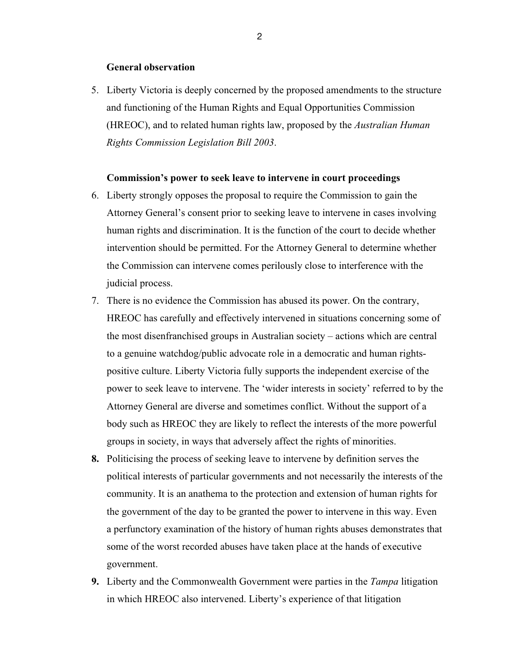### **General observation**

5. Liberty Victoria is deeply concerned by the proposed amendments to the structure and functioning of the Human Rights and Equal Opportunities Commission (HREOC), and to related human rights law, proposed by the *Australian Human Rights Commission Legislation Bill 2003*.

### **Commission's power to seek leave to intervene in court proceedings**

- 6. Liberty strongly opposes the proposal to require the Commission to gain the Attorney General's consent prior to seeking leave to intervene in cases involving human rights and discrimination. It is the function of the court to decide whether intervention should be permitted. For the Attorney General to determine whether the Commission can intervene comes perilously close to interference with the judicial process.
- 7. There is no evidence the Commission has abused its power. On the contrary, HREOC has carefully and effectively intervened in situations concerning some of the most disenfranchised groups in Australian society – actions which are central to a genuine watchdog/public advocate role in a democratic and human rightspositive culture. Liberty Victoria fully supports the independent exercise of the power to seek leave to intervene. The 'wider interests in society' referred to by the Attorney General are diverse and sometimes conflict. Without the support of a body such as HREOC they are likely to reflect the interests of the more powerful groups in society, in ways that adversely affect the rights of minorities.
- **8.** Politicising the process of seeking leave to intervene by definition serves the political interests of particular governments and not necessarily the interests of the community. It is an anathema to the protection and extension of human rights for the government of the day to be granted the power to intervene in this way. Even a perfunctory examination of the history of human rights abuses demonstrates that some of the worst recorded abuses have taken place at the hands of executive government.
- **9.** Liberty and the Commonwealth Government were parties in the *Tampa* litigation in which HREOC also intervened. Liberty's experience of that litigation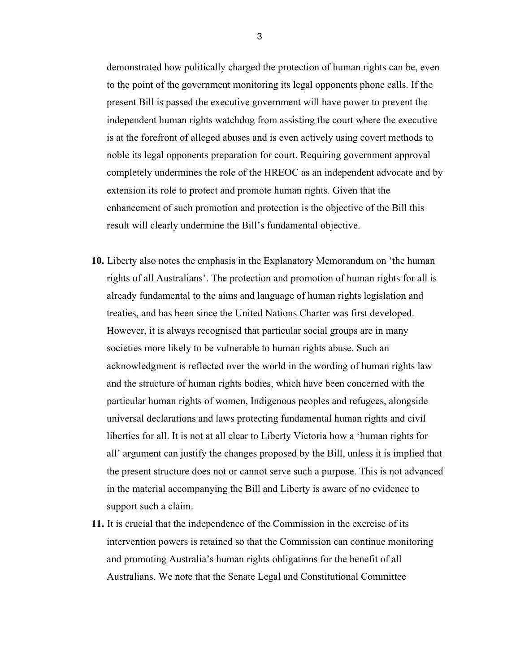demonstrated how politically charged the protection of human rights can be, even to the point of the government monitoring its legal opponents phone calls. If the present Bill is passed the executive government will have power to prevent the independent human rights watchdog from assisting the court where the executive is at the forefront of alleged abuses and is even actively using covert methods to noble its legal opponents preparation for court. Requiring government approval completely undermines the role of the HREOC as an independent advocate and by extension its role to protect and promote human rights. Given that the enhancement of such promotion and protection is the objective of the Bill this result will clearly undermine the Bill's fundamental objective.

- **10.** Liberty also notes the emphasis in the Explanatory Memorandum on 'the human rights of all Australians'. The protection and promotion of human rights for all is already fundamental to the aims and language of human rights legislation and treaties, and has been since the United Nations Charter was first developed. However, it is always recognised that particular social groups are in many societies more likely to be vulnerable to human rights abuse. Such an acknowledgment is reflected over the world in the wording of human rights law and the structure of human rights bodies, which have been concerned with the particular human rights of women, Indigenous peoples and refugees, alongside universal declarations and laws protecting fundamental human rights and civil liberties for all. It is not at all clear to Liberty Victoria how a 'human rights for all' argument can justify the changes proposed by the Bill, unless it is implied that the present structure does not or cannot serve such a purpose. This is not advanced in the material accompanying the Bill and Liberty is aware of no evidence to support such a claim.
- **11.** It is crucial that the independence of the Commission in the exercise of its intervention powers is retained so that the Commission can continue monitoring and promoting Australia's human rights obligations for the benefit of all Australians. We note that the Senate Legal and Constitutional Committee

3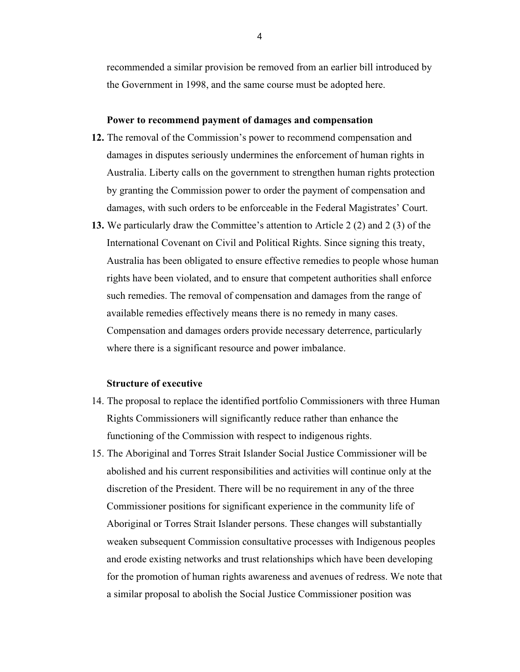recommended a similar provision be removed from an earlier bill introduced by the Government in 1998, and the same course must be adopted here.

## **Power to recommend payment of damages and compensation**

- **12.** The removal of the Commission's power to recommend compensation and damages in disputes seriously undermines the enforcement of human rights in Australia. Liberty calls on the government to strengthen human rights protection by granting the Commission power to order the payment of compensation and damages, with such orders to be enforceable in the Federal Magistrates' Court.
- **13.** We particularly draw the Committee's attention to Article 2 (2) and 2 (3) of the International Covenant on Civil and Political Rights. Since signing this treaty, Australia has been obligated to ensure effective remedies to people whose human rights have been violated, and to ensure that competent authorities shall enforce such remedies. The removal of compensation and damages from the range of available remedies effectively means there is no remedy in many cases. Compensation and damages orders provide necessary deterrence, particularly where there is a significant resource and power imbalance.

### **Structure of executive**

- 14. The proposal to replace the identified portfolio Commissioners with three Human Rights Commissioners will significantly reduce rather than enhance the functioning of the Commission with respect to indigenous rights.
- 15. The Aboriginal and Torres Strait Islander Social Justice Commissioner will be abolished and his current responsibilities and activities will continue only at the discretion of the President. There will be no requirement in any of the three Commissioner positions for significant experience in the community life of Aboriginal or Torres Strait Islander persons. These changes will substantially weaken subsequent Commission consultative processes with Indigenous peoples and erode existing networks and trust relationships which have been developing for the promotion of human rights awareness and avenues of redress. We note that a similar proposal to abolish the Social Justice Commissioner position was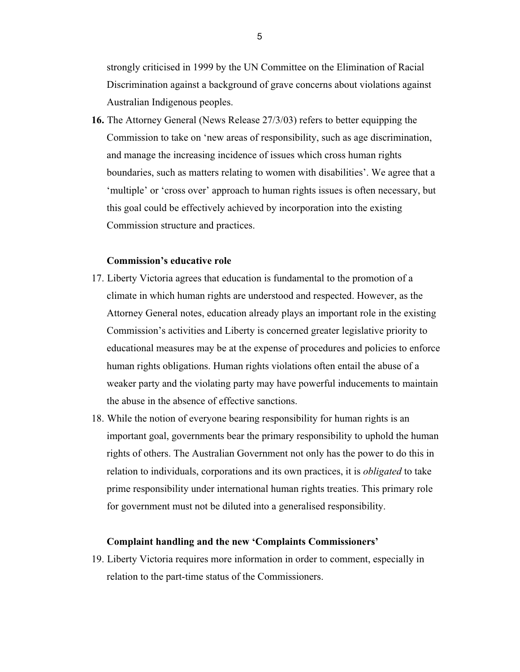strongly criticised in 1999 by the UN Committee on the Elimination of Racial Discrimination against a background of grave concerns about violations against Australian Indigenous peoples.

**16.** The Attorney General (News Release 27/3/03) refers to better equipping the Commission to take on 'new areas of responsibility, such as age discrimination, and manage the increasing incidence of issues which cross human rights boundaries, such as matters relating to women with disabilities'. We agree that a 'multiple' or 'cross over' approach to human rights issues is often necessary, but this goal could be effectively achieved by incorporation into the existing Commission structure and practices.

### **Commission's educative role**

- 17. Liberty Victoria agrees that education is fundamental to the promotion of a climate in which human rights are understood and respected. However, as the Attorney General notes, education already plays an important role in the existing Commission's activities and Liberty is concerned greater legislative priority to educational measures may be at the expense of procedures and policies to enforce human rights obligations. Human rights violations often entail the abuse of a weaker party and the violating party may have powerful inducements to maintain the abuse in the absence of effective sanctions.
- 18. While the notion of everyone bearing responsibility for human rights is an important goal, governments bear the primary responsibility to uphold the human rights of others. The Australian Government not only has the power to do this in relation to individuals, corporations and its own practices, it is *obligated* to take prime responsibility under international human rights treaties. This primary role for government must not be diluted into a generalised responsibility.

#### **Complaint handling and the new 'Complaints Commissioners'**

19. Liberty Victoria requires more information in order to comment, especially in relation to the part-time status of the Commissioners.

5